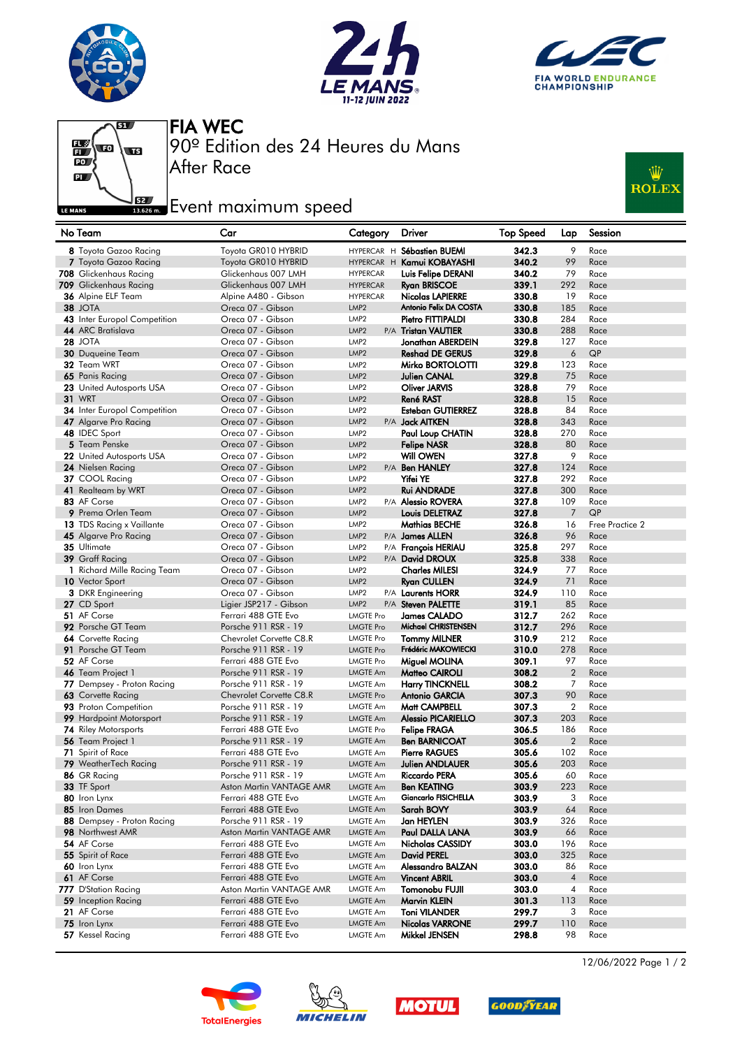







90º Edition des 24 Heures du Mans FIA WEC

## **Example 2**<br>Issuem Event maximum speed

After Race



| No Team                                         | Car                                             | Category                      | <b>Driver</b>                              | <b>Top Speed</b> | Lap            | Session         |
|-------------------------------------------------|-------------------------------------------------|-------------------------------|--------------------------------------------|------------------|----------------|-----------------|
| 8 Toyota Gazoo Racing                           | Toyota GR010 HYBRID                             |                               | HYPERCAR H Sébastien BUEMI                 | 342.3            | 9              | Race            |
| 7 Toyota Gazoo Racing                           | Toyota GR010 HYBRID                             |                               | HYPERCAR H Kamui KOBAYASHI                 | 340.2            | 99             | Race            |
| 708 Glickenhaus Racing                          | Glickenhaus 007 LMH                             | <b>HYPERCAR</b>               | Luis Felipe DERANI                         | 340.2            | 79             | Race            |
| 709 Glickenhaus Racing                          | Glickenhaus 007 LMH                             | <b>HYPERCAR</b>               | <b>Ryan BRISCOE</b>                        | 339.1            | 292            | Race            |
| 36 Alpine ELF Team                              | Alpine A480 - Gibson                            | <b>HYPERCAR</b>               | <b>Nicolas LAPIERRE</b>                    | 330.8            | 19             | Race            |
| <b>38 JOTA</b>                                  | Oreca 07 - Gibson                               | LMP <sub>2</sub>              | Antonio Felix DA COSTA                     | 330.8            | 185            | Race            |
| 43 Inter Europol Competition                    | Oreca 07 - Gibson                               | LMP <sub>2</sub>              | Pietro FITTIPALDI                          | 330.8            | 284            | Race            |
| 44 ARC Bratislava                               | Oreca 07 - Gibson                               | LMP <sub>2</sub>              | P/A Tristan VAUTIER                        | 330.8            | 288            | Race            |
| <b>28 JOTA</b>                                  | Oreca 07 - Gibson                               | LMP <sub>2</sub>              | Jonathan ABERDEIN                          | 329.8            | 127            | Race            |
| 30 Duqueine Team                                | Oreca 07 - Gibson                               | LMP <sub>2</sub>              | <b>Reshad DE GERUS</b>                     | 329.8            | 6              | QP              |
| 32 Team WRT                                     | Oreca 07 - Gibson                               | LMP <sub>2</sub>              | Mirko BORTOLOTTI                           | 329.8            | 123            | Race            |
| 65 Panis Racina                                 | Oreca 07 - Gibson                               | LMP <sub>2</sub>              | Julien CANAL                               | 329.8            | 75             | Race            |
| 23 United Autosports USA                        | Oreca 07 - Gibson                               | LMP <sub>2</sub>              | Oliver JARVIS                              | 328.8            | 79             | Race            |
| <b>31 WRT</b>                                   | Oreca 07 - Gibson                               | LMP <sub>2</sub>              | <b>René RAST</b>                           | 328.8            | 15             | Race            |
| 34 Inter Europol Competition                    | Oreca 07 - Gibson                               | LMP <sub>2</sub>              | <b>Esteban GUTIERREZ</b>                   | 328.8            | 84             | Race            |
| 47 Algarve Pro Racing                           | Oreca 07 - Gibson                               | LMP <sub>2</sub>              | P/A <b>Jack AITKEN</b>                     | 328.8            | 343            | Race            |
| 48 IDEC Sport                                   | Oreca 07 - Gibson                               | LMP <sub>2</sub>              | Paul Loup CHATIN                           | 328.8            | 270            | Race            |
| 5 Team Penske                                   | Oreca 07 - Gibson                               | LMP <sub>2</sub>              | <b>Felipe NASR</b>                         | 328.8            | 80             | Race            |
| 22 United Autosports USA                        | Oreca 07 - Gibson                               | LMP <sub>2</sub>              | Will OWEN                                  | 327.8            | 9              | Race            |
| 24 Nielsen Racing                               | Oreca 07 - Gibson                               | LMP <sub>2</sub>              | P/A Ben HANLEY                             | 327.8            | 124            | Race            |
| 37 COOL Racing                                  | Oreca 07 - Gibson                               | LMP <sub>2</sub>              | Yifei YE                                   | 327.8            | 292            | Race            |
| 41 Realteam by WRT                              | Oreca 07 - Gibson                               | LMP <sub>2</sub>              | <b>Rui ANDRADE</b>                         | 327.8            | 300            | Race            |
| 83 AF Corse                                     | Oreca 07 - Gibson                               | LMP <sub>2</sub>              | P/A Alessio ROVERA                         | 327.8            | 109            | Race            |
| 9 Prema Orlen Team                              | Oreca 07 - Gibson                               | LMP <sub>2</sub>              | Louis DELETRAZ                             | 327.8            | $\overline{7}$ | QP              |
| 13 TDS Racing x Vaillante                       | Oreca 07 - Gibson                               | LMP <sub>2</sub>              | <b>Mathias BECHE</b>                       | 326.8            | 16             | Free Practice 2 |
| 45 Algarve Pro Racing                           | Oreca 07 - Gibson                               | LMP <sub>2</sub>              | P/A James ALLEN                            | 326.8            | 96             | Race            |
| 35 Ultimate                                     | Oreca 07 - Gibson                               | LMP <sub>2</sub>              | P/A François HERIAU                        | 325.8            | 297            | Race            |
| 39 Graff Racing                                 | Oreca 07 - Gibson                               | LMP <sub>2</sub>              | P/A David DROUX                            | 325.8            | 338            | Race            |
| 1 Richard Mille Racing Team                     | Oreca 07 - Gibson                               | LMP <sub>2</sub>              | <b>Charles MILESI</b>                      | 324.9            | 77             | Race            |
| 10 Vector Sport                                 | Oreca 07 - Gibson                               | LMP <sub>2</sub>              | <b>Ryan CULLEN</b>                         | 324.9            | 71             | Race            |
| <b>3</b> DKR Engineering                        | Oreca 07 - Gibson                               | LMP <sub>2</sub>              | P/A Laurents HORR                          | 324.9            | 110            | Race            |
| 27 CD Sport                                     | Ligier JSP217 - Gibson                          | LMP <sub>2</sub>              | P/A Steven PALETTE                         | 319.1            | 85             | Race            |
| 51 AF Corse                                     | Ferrari 488 GTE Evo                             | LMGTE Pro                     | <b>James CALADO</b><br>Michael CHRISTENSEN | 312.7            | 262            | Race            |
| 92 Porsche GT Team<br><b>64</b> Corvette Racing | Porsche 911 RSR - 19<br>Chevrolet Corvette C8.R | <b>LMGTE Pro</b><br>LMGTE Pro | <b>Tommy MILNER</b>                        | 312.7<br>310.9   | 296<br>212     | Race<br>Race    |
| 91 Porsche GT Team                              | Porsche 911 RSR - 19                            | <b>LMGTE Pro</b>              | Frédéric MAKOWIECKI                        | 310.0            | 278            | Race            |
| 52 AF Corse                                     | Ferrari 488 GTE Evo                             | <b>LMGTE Pro</b>              | Miguel MOLINA                              | 309.1            | 97             | Race            |
| 46 Team Project 1                               | Porsche 911 RSR - 19                            | <b>LMGTE Am</b>               | Matteo CAIROLI                             | 308.2            | $\overline{2}$ | Race            |
| 77 Dempsey - Proton Racing                      | Porsche 911 RSR - 19                            | <b>LMGTE Am</b>               | <b>Harry TINCKNELL</b>                     | 308.2            | 7              | Race            |
| 63 Corvette Racing                              | Chevrolet Corvette C8.R                         | <b>LMGTE Pro</b>              | <b>Antonio GARCIA</b>                      | 307.3            | 90             | Race            |
| 93 Proton Competition                           | Porsche 911 RSR - 19                            | <b>LMGTE Am</b>               | Matt CAMPBELL                              | 307.3            | $\overline{2}$ | Race            |
| 99 Hardpoint Motorsport                         | Porsche 911 RSR - 19                            | <b>LMGTE Am</b>               | <b>Alessio PICARIELLO</b>                  | 307.3            | 203            | Race            |
| <b>74</b> Riley Motorsports                     | Ferrari 488 GTE Evo                             | <b>LMGTE Pro</b>              | <b>Felipe FRAGA</b>                        | 306.5            | 186            | Race            |
| 56 Team Project 1                               | Porsche 911 RSR - 19                            | <b>LMGTE Am</b>               | <b>Ben BARNICOAT</b>                       | 305.6            | $\overline{2}$ | Race            |
| <b>71</b> Spirit of Race                        | Ferrari 488 GTE Evo                             | <b>LMGTE Am</b>               | <b>Pierre RAGUES</b>                       | 305.6            | 102            | Race            |
| 79 WeatherTech Racing                           | Porsche 911 RSR - 19                            | LMGTE Am                      | Julien ANDLAUER                            | 305.6            | 203            | Race            |
| 86 GR Racing                                    | Porsche 911 RSR - 19                            | LMGTE Am                      | Riccardo PERA                              | 305.6            | 60             | Race            |
| 33 TF Sport                                     | Aston Martin VANTAGE AMR                        | LMGTE Am                      | <b>Ben KEATING</b>                         | 303.9            | 223            | Race            |
| 80 Iron Lynx                                    | Ferrari 488 GTE Evo                             | LMGTE Am                      | Giancarlo FISICHELLA                       | 303.9            | 3              | Race            |
| 85 Iron Dames                                   | Ferrari 488 GTE Evo                             | LMGTE Am                      | Sarah BOVY                                 | 303.9            | 64             | Race            |
| 88 Dempsey - Proton Racing                      | Porsche 911 RSR - 19                            | <b>LMGTE Am</b>               | Jan HEYLEN                                 | 303.9            | 326            | Race            |
| 98 Northwest AMR                                | Aston Martin VANTAGE AMR                        | LMGTE Am                      | Paul DALLA LANA                            | 303.9            | 66             | Race            |
| 54 AF Corse                                     | Ferrari 488 GTE Evo                             | <b>LMGTE Am</b>               | Nicholas CASSIDY                           | 303.0            | 196            | Race            |
| 55 Spirit of Race                               | Ferrari 488 GTE Evo                             | LMGTE Am                      | <b>David PEREL</b>                         | 303.0            | 325            | Race            |
| 60 Iron Lynx                                    | Ferrari 488 GTE Evo                             | LMGTE Am                      | Alessandro BALZAN                          | 303.0            | 86             | Race            |
| 61 AF Corse                                     | Ferrari 488 GTE Evo                             | LMGTE Am                      | <b>Vincent ABRIL</b>                       | 303.0            | $\overline{4}$ | Race            |
| 777 D'Station Racing                            | Aston Martin VANTAGE AMR                        | LMGTE Am                      | Tomonobu FUJII                             | 303.0            | 4              | Race            |
| 59 Inception Racing                             | Ferrari 488 GTE Evo                             | LMGTE Am                      | Marvin KLEIN                               | 301.3            | 113            | Race            |
| 21 AF Corse                                     | Ferrari 488 GTE Evo                             | LMGTE Am                      | Toni VILANDER                              | 299.7            | 3              | Race            |
| 75 Iron Lynx                                    | Ferrari 488 GTE Evo                             | LMGTE Am                      | <b>Nicolas VARRONE</b>                     | 299.7            | 110            | Race            |
| 57 Kessel Racing                                | Ferrari 488 GTE Evo                             | LMGTE Am                      | Mikkel JENSEN                              | 298.8            | 98             | Race            |









12/06/2022 Page 1 / 2